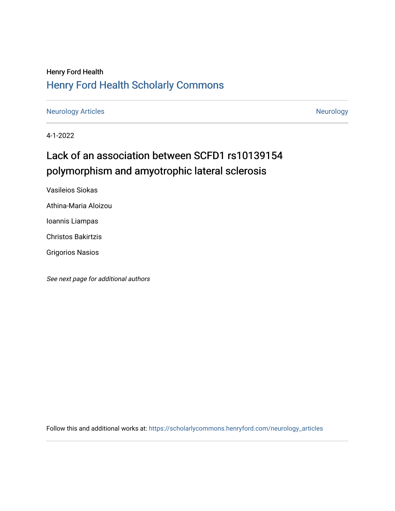## Henry Ford Health [Henry Ford Health Scholarly Commons](https://scholarlycommons.henryford.com/)

[Neurology Articles](https://scholarlycommons.henryford.com/neurology_articles) [Neurology](https://scholarlycommons.henryford.com/neurology) Articles

4-1-2022

# Lack of an association between SCFD1 rs10139154 polymorphism and amyotrophic lateral sclerosis

Vasileios Siokas

Athina-Maria Aloizou

Ioannis Liampas

Christos Bakirtzis

Grigorios Nasios

See next page for additional authors

Follow this and additional works at: [https://scholarlycommons.henryford.com/neurology\\_articles](https://scholarlycommons.henryford.com/neurology_articles?utm_source=scholarlycommons.henryford.com%2Fneurology_articles%2F572&utm_medium=PDF&utm_campaign=PDFCoverPages)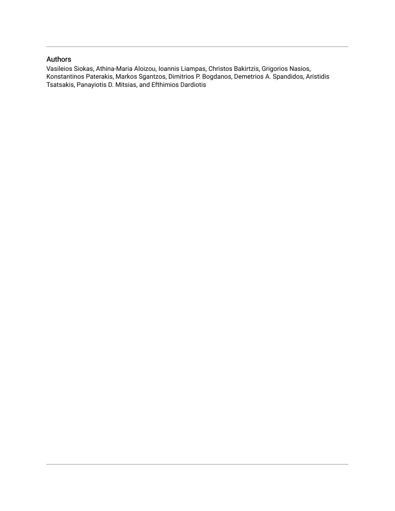## Authors

Vasileios Siokas, Athina-Maria Aloizou, Ioannis Liampas, Christos Bakirtzis, Grigorios Nasios, Konstantinos Paterakis, Markos Sgantzos, Dimitrios P. Bogdanos, Demetrios A. Spandidos, Aristidis Tsatsakis, Panayiotis D. Mitsias, and Efthimios Dardiotis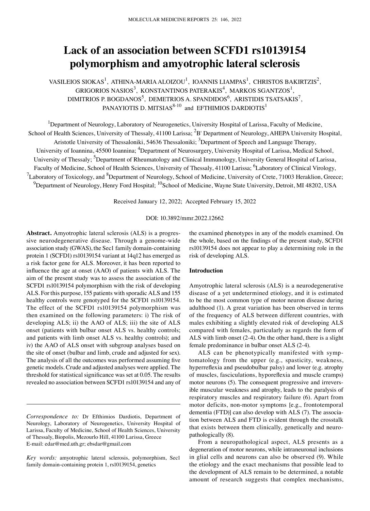## **Lack of an association between SCFD1 rs10139154 polymorphism and amyotrophic lateral sclerosis**

VASILEIOS SIOKAS<sup>1</sup>, ATHINA-MARIA ALOIZOU<sup>1</sup>, IOANNIS LIAMPAS<sup>1</sup>, CHRISTOS BAKIRTZIS<sup>2</sup>, GRIGORIOS NASIOS<sup>3</sup>, KONSTANTINOS PATERAKIS<sup>4</sup>, MARKOS SGANTZOS<sup>1</sup>, DIMITRIOS P. BOGDANOS<sup>5</sup>, DEMETRIOS A. SPANDIDOS<sup>6</sup>, ARISTIDIS TSATSAKIS<sup>7</sup>, PANAYIOTIS D. MITSIAS $^{8\textrm{-}10}$  and EFTHIMIOS DARDIOTIS $^1$ 

<sup>1</sup>Department of Neurology, Laboratory of Neurogenetics, University Hospital of Larissa, Faculty of Medicine, School of Health Sciences, University of Thessaly, 41100 Larissa; <sup>2</sup>B' Department of Neurology, AHEPA University Hospital, Aristotle University of Thessaloniki, 54636 Thessaloniki; <sup>3</sup>Department of Speech and Language Therapy, University of Ioannina, 45500 Ioannina; <sup>4</sup>Department of Neurosurgery, University Hospital of Larissa, Medical School, University of Thessaly; <sup>5</sup>Department of Rheumatology and Clinical Immunology, University General Hospital of Larissa, Faculty of Medicine, School of Health Sciences, University of Thessaly, 41100 Larissa; <sup>6</sup>Laboratory of Clinical Virology,  $^7$ Laboratory of Toxicology, and  $^8$ Department of Neurology, School of Medicine, University of Crete, 71003 Heraklion, Greece;  $^9$ Department of Neurology, Henry Ford Hospital;  $^{10}$ School of Medicine, Wayne State University, Detroit, MI 48202, USA

Received January 12, 2022; Accepted February 15, 2022

## DOI: 10.3892/mmr.2022.12662

Abstract. Amyotrophic lateral sclerosis (ALS) is a progressive neurodegenerative disease. Through a genome‑wide association study (GWAS), the Sec1 family domain‑containing protein 1 (SCFD1) rs10139154 variant at 14q12 has emerged as a risk factor gene for ALS. Moreover, it has been reported to influence the age at onset (AAO) of patients with ALS. The aim of the present study was to assess the association of the SCFD1 rs10139154 polymorphism with the risk of developing ALS. For this purpose, 155 patients with sporadic ALS and 155 healthy controls were genotyped for the SCFD1 rs10139154. The effect of the SCFD1 rs10139154 polymorphism was then examined on the following parameters: i) The risk of developing ALS; ii) the AAO of ALS; iii) the site of ALS onset (patients with bulbar onset ALS vs. healthy controls; and patients with limb onset ALS vs. healthy controls); and iv) the AAO of ALS onset with subgroup analyses based on the site of onset (bulbar and limb, crude and adjusted for sex). The analysis of all the outcomes was performed assuming five genetic models. Crude and adjusted analyses were applied. The threshold for statistical significance was set at 0.05. The results revealed no association between SCFD1 rs10139154 and any of the examined phenotypes in any of the models examined. On the whole, based on the findings of the present study, SCFD1 rs10139154 does not appear to play a determining role in the risk of developing ALS.

## **Introduction**

Amyotrophic lateral sclerosis (ALS) is a neurodegenerative disease of a yet undetermined etiology, and it is estimated to be the most common type of motor neuron disease during adulthood (1). A great variation has been observed in terms of the frequency of ALS between different countries, with males exhibiting a slightly elevated risk of developing ALS compared with females, particularly as regards the form of ALS with limb onset (2‑4). On the other hand, there is a slight female predominance in bulbar onset ALS (2‑4).

ALS can be phenotypically manifested with symptomatology from the upper (e.g., spasticity, weakness, hyperreflexia and pseudobulbar palsy) and lower (e.g. atrophy of muscles, fasciculations, hyporeflexia and muscle cramps) motor neurons (5). The consequent progressive and irreversible muscular weakness and atrophy, leads to the paralysis of respiratory muscles and respiratory failure (6). Apart from motor deficits, non-motor symptoms [e.g., frontotemporal] dementia (FTD)] can also develop with ALS (7). The association between ALS and FTD is evident through the crosstalk that exists between them clinically, genetically and neuropathologically (8).

From a neuropathological aspect, ALS presents as a degeneration of motor neurons, while intraneuronal inclusions in glial cells and neurons can also be observed (9). While the etiology and the exact mechanisms that possible lead to the development of ALS remain to be determined, a notable amount of research suggests that complex mechanisms,

*Correspondence to:* Dr Efthimios Dardiotis, Department of Neurology, Laboratory of Neurogenetics, University Hospital of Larissa, Faculty of Medicine, School of Health Sciences, University of Thessaly, Biopolis, Mezourlo Hill, 41100 Larissa, Greece E‑mail: edar@med.uth.gr; ebsdar@gmail.com

*Key words:* amyotrophic lateral sclerosis, polymorphism, Sec1 family domain-containing protein 1, rs10139154, genetics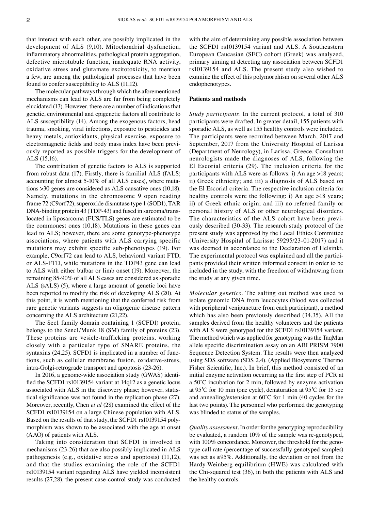that interact with each other, are possibly implicated in the development of ALS (9,10). Mitochondrial dysfunction, inflammatory abnormalities, pathological protein aggregation, defective microtubule function, inadequate RNA activity, oxidative stress and glutamate excitotoxicity, to mention a few, are among the pathological processes that have been found to confer susceptibility to ALS (11,12).

The molecular pathways through which the aforementioned mechanisms can lead to ALS are far from being completely elucidated (13). However, there are a number of indications that genetic, environmental and epigenetic factors all contribute to ALS susceptibility (14). Among the exogenous factors, head trauma, smoking, viral infections, exposure to pesticides and heavy metals, antioxidants, physical exercise, exposure to electromagnetic fields and body mass index have been previously reported as possible triggers for the development of ALS (15,16).

The contribution of genetic factors to ALS is supported from robust data (17). Firstly, there is familial ALS (fALS; accounting for almost 5-10% of all ALS cases), where mutations >30 genes are considered as ALS causative ones (10,18). Namely, mutations in the chromosome 9 open reading frame 72 (C9orf72), superoxide dismutase type 1 (SOD1), TAR DNA-binding protein 43 (TDP-43) and fused in sarcoma/translocated in liposarcoma (FUS/TLS) genes are estimated to be the commonest ones (10,18). Mutations in these genes can lead to ALS; however, there are some genotype-phenotype associations, where patients with ALS carrying specific mutations may exhibit specific sub‑phenotypes (19). For example, C9orf72 can lead to ALS, behavioral variant FTD, or ALS‑FTD, while mutations in the TDP43 gene can lead to ALS with either bulbar or limb onset (19). Moreover, the remaining 85‑90% of all ALS cases are considered as sporadic ALS (sALS) (5), where a large amount of genetic loci have been reported to modify the risk of developing ALS (20). At this point, it is worth mentioning that the conferred risk from rare genetic variants suggests an oligogenic disease pattern concerning the ALS architecture (21,22).

The Sec1 family domain containing 1 (SCFD1) protein, belongs to the Senc1/Munk 18 (SM) family of proteins (23). These proteins are vesicle-trafficking proteins, working closely with a particular type of SNARE proteins, the syntaxins (24,25). SCFD1 is implicated in a number of functions, such as cellular membrane fusion, oxidative‑stress, intra‑Golgi‑retrograde transport and apoptosis (23‑26).

In 2016, a genome-wide association study (GWAS) identified the SCFD1 rs10139154 variant at 14q12 as a genetic locus associated with ALS in the discovery phase; however, statistical significance was not found in the replication phase (27). Moreover, recently, Chen *et al* (28) examined the effect of the SCFD1 rs10139154 on a large Chinese population with ALS. Based on the results of that study, the SCFD1 rs10139154 polymorphism was shown to be associated with the age at onset (AAO) of patients with ALS.

Taking into consideration that SCFD1 is involved in mechanisms (23‑26) that are also possibly implicated in ALS pathogenesis (e.g., oxidative stress and apoptosis) (11,12), and that the studies examining the role of the SCFD1 rs10139154 variant regarding ALS have yielded inconsistent results (27,28), the present case‑control study was conducted with the aim of determining any possible association between the SCFD1 rs10139154 variant and ALS. A Southeastern European Caucasian (SEC) cohort (Greek) was analyzed, primary aiming at detecting any association between SCFD1 rs10139154 and ALS. The present study also wished to examine the effect of this polymorphism on several other ALS endophenotypes.

## **Patients and methods**

*Study participants.* In the current protocol, a total of 310 participants were drafted. In greater detail, 155 patients with sporadic ALS, as well as 155 healthy controls were included. The participants were recruited between March, 2017 and September, 2017 from the University Hospital of Larissa (Department of Neurology), in Larissa, Greece. Consultant neurologists made the diagnoses of ALS, following the El Escorial criteria (29). The inclusion criteria for the participants with ALS were as follows: i) An age >18 years; ii) Greek ethnicity; and iii) a diagnosis of ALS based on the El Escorial criteria. The respective inclusion criteria for healthy controls were the following: i) An age >18 years; ii) of Greek ethnic origin; and iii) no referred family or personal history of ALS or other neurological disorders. The characteristics of the ALS cohort have been previously described (30‑33). The research study protocol of the present study was approved by the Local Ethics Committee (University Hospital of Larissa: 59295/23‑01‑2017) and it was deemed in accordance to the Declaration of Helsinki. The experimental protocol was explained and all the participants provided their written informed consent in order to be included in the study, with the freedom of withdrawing from the study at any given time.

*Molecular genetics.* The salting out method was used to isolate genomic DNA from leucocytes (blood was collected with peripheral venipuncture from each participant), a method which has also been previously described (34,35). All the samples derived from the healthy volunteers and the patients with ALS were genotyped for the SCFD1 rs10139154 variant. The method which was applied for genotyping was the TaqMan allele specific discrimination assay on an ABI PRISM 7900 Sequence Detection System. The results were then analyzed using SDS software (SDS 2.4). (Applied Biosystems; Thermo Fisher Scientific, Inc.). In brief, this method consisted of an initial enzyme activation occurring as the first step of PCR at a 50˚C incubation for 2 min, followed by enzyme activation at 95˚C for 10 min (one cycle), denaturation at 95˚C for 15 sec and annealing/extension at 60˚C for 1 min (40 cycles for the last two points). The personnel who performed the genotyping was blinded to status of the samples.

*Quality assessment.* In order for the genotyping reproducibility be evaluated, a random 10% of the sample was re‑genotyped, with 100% concordance. Moreover, the threshold for the genotype call rate (percentage of successfully genotyped samples) was set as  $\geq$ 95%. Additionally, the deviation or not from the Hardy‑Weinberg equilibrium (HWE) was calculated with the Chi‑squared test (36), in both the patients with ALS and the healthy controls.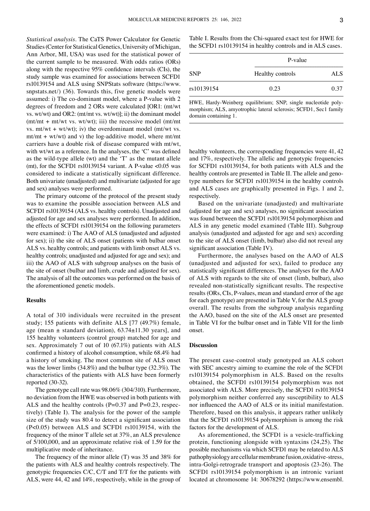*Statistical analysis.* The CaTS Power Calculator for Genetic Studies (Center for Statistical Genetics, University of Michigan, Ann Arbor, MI, USA) was used for the statistical power of the current sample to be measured. With odds ratios (ORs) along with the respective 95% confidence intervals (CIs), the study sample was examined for associations between SCFD1 rs10139154 and ALS using SNPStats software (https://www. snpstats.net/) (36). Towards this, five genetic models were assumed: i) The co-dominant model, where a P-value with 2 degrees of freedom and 2 ORs were calculated [OR1: (mt/wt vs. wt/wt) and OR2: (mt/mt vs. wt/wt)]; ii) the dominant model  $(mt/mt + mt/wt vs. wt/wt); iii)$  the recessive model  $(mt/mt)$ vs.  $mt/wt + wt/wt)$ ; iv) the overdominant model (mt/wt vs.  $mt/mt + wt/wt)$  and v) the log-additive model, where  $mt/mt$ carriers have a double risk of disease compared with mt/wt, with wt/wt as a reference. In the analyses, the 'C' was defined as the wild-type allele (wt) and the 'T' as the mutant allele (mt), for the SCFD1 rs10139154 variant. A P-value  $< 0.05$  was considered to indicate a statistically significant difference. Both univariate (unadjusted) and multivariate (adjusted for age and sex) analyses were performed.

The primary outcome of the protocol of the present study was to examine the possible association between ALS and SCFD1 rs10139154 (ALS vs. healthy controls). Unadjusted and adjusted for age and sex analyses were performed. In addition, the effects of SCFD1 rs10139154 on the following parameters were examined: i) The AAO of ALS (unadjusted and adjusted for sex); ii) the site of ALS onset (patients with bulbar onset ALS vs. healthy controls; and patients with limb onset ALS vs. healthy controls; unadjusted and adjusted for age and sex); and iii) the AAO of ALS with subgroup analyses on the basis of the site of onset (bulbar and limb, crude and adjusted for sex). The analysis of all the outcomes was performed on the basis of the aforementioned genetic models.

## **Results**

A total of 310 individuals were recruited in the present study; 155 patients with definite ALS [77 (49.7%) female, age (mean  $\pm$  standard deviation), 63.74 $\pm$ 11.30 years], and 155 healthy volunteers (control group) matched for age and sex. Approximately 7 out of 10 (67.1%) patients with ALS confirmed a history of alcohol consumption, while 68.4% had a history of smoking. The most common site of ALS onset was the lower limbs (34.8%) and the bulbar type (32.3%). The characteristics of the patients with ALS have been formerly reported (30‑32).

The genotype call rate was 98.06% (304/310). Furthermore, no deviation from the HWE was observed in both patients with ALS and the healthy controls ( $P=0.37$  and  $P=0.23$ , respectively) (Table I). The analysis for the power of the sample size of the study was 80.4 to detect a significant association (P<0.05) between ALS and SCFD1 rs10139154, with the frequency of the minor T allele set at 37%, an ALS prevalence of 5/100,000, and an approximate relative risk of 1.59 for the multiplicative mode of inheritance.

The frequency of the minor allele (T) was 35 and 38% for the patients with ALS and healthy controls respectively. The genotypic frequencies C/C, C/T and T/T for the patients with ALS, were 44, 42 and 14%, respectively, while in the group of Table I. Results from the Chi‑squared exact test for HWE for the SCFD1 rs10139154 in healthy controls and in ALS cases.

|            | P-value          |      |  |
|------------|------------------|------|--|
| <b>SNP</b> | Healthy controls | ALS. |  |
| rs10139154 | 0.23             | 0.37 |  |

HWE, Hardy-Weinberg equilibrium; SNP, single nucleotide polymorphism; ALS, amyotrophic lateral sclerosis; SCFD1, Sec1 family domain containing 1.

healthy volunteers, the corresponding frequencies were 41, 42 and 17%, respectively. The allelic and genotypic frequencies for SCFD1 rs10139154, for both patients with ALS and the healthy controls are presented in Table II. The allele and genotype numbers for SCFD1 rs10139154 in the healthy controls and ALS cases are graphically presented in Figs. 1 and 2, respectively.

Based on the univariate (unadjusted) and multivariate (adjusted for age and sex) analyses, no significant association was found between the SCFD1 rs10139154 polymorphism and ALS in any genetic model examined (Table III). Subgroup analysis (unadjusted and adjusted for age and sex) according to the site of ALS onset (limb, bulbar) also did not reveal any significant association (Table IV).

Furthermore, the analyses based on the AAO of ALS (unadjusted and adjusted for sex), failed to produce any statistically significant differences. The analyses for the AAO of ALS with regards to the site of onset (limb, bulbar), also revealed non‑statistically significant results. The respective results (ORs, CIs, P-values, mean and standard error of the age for each genotype) are presented in Table V, for the ALS group overall. The results from the subgroup analysis regarding the AAO, based on the site of the ALS onset are presented in Table VI for the bulbar onset and in Table VII for the limb onset.

#### **Discussion**

The present case-control study genotyped an ALS cohort with SEC ancestry aiming to examine the role of the SCFD1 rs10139154 polymorphism in ALS. Based on the results obtained, the SCFD1 rs10139154 polymorphism was not associated with ALS. More precisely, the SCFD1 rs10139154 polymorphism neither conferred any susceptibility to ALS nor influenced the AAO of ALS or its initial manifestation. Therefore, based on this analysis, it appears rather unlikely that the SCFD1 rs10139154 polymorphism is among the risk factors for the development of ALS.

As aforementioned, the SCFD1 is a vesicle-trafficking protein, functioning alongside with syntaxins (24,25). The possible mechanisms via which SCFD1 may be related to ALS pathophysiology are cellular membrane fusion, oxidative‑stress, intra‑Golgi‑retrograde transport and apoptosis (23‑26). The SCFD1 rs10139154 polymorphism is an intronic variant located at chromosome 14: 30678292 (https://www.ensembl.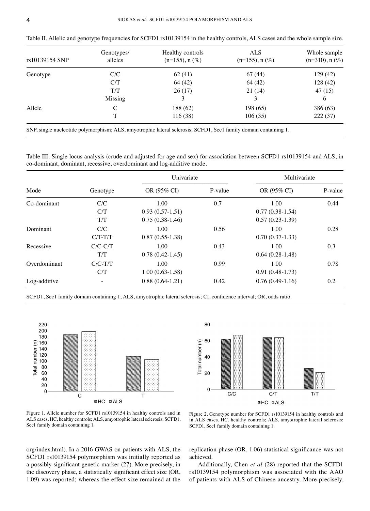| I |  |
|---|--|
|   |  |

| rs10139154 SNP | Genotypes/<br>alleles | Healthy controls<br>$(n=155)$ , n $(\%)$                                                                         | <b>ALS</b><br>$(n=155)$ , n $(\%)$ | Whole sample<br>$(n=310)$ , n $(\%)$ |
|----------------|-----------------------|------------------------------------------------------------------------------------------------------------------|------------------------------------|--------------------------------------|
| Genotype       | C/C                   | 62(41)                                                                                                           | 67(44)                             | 129 (42)                             |
|                | C/T                   | 64 (42)                                                                                                          | 64 (42)                            | 128(42)                              |
|                | T/T                   | 26(17)                                                                                                           | 21(14)                             | 47(15)                               |
|                | Missing               |                                                                                                                  |                                    | 6                                    |
| Allele         |                       | 188 (62)                                                                                                         | 198 (65)                           | 386 (63)                             |
|                |                       | 116(38)                                                                                                          | 106(35)                            | 222(37)                              |
|                |                       | SNP, single nucleotide polymorphism; ALS, amyotrophic lateral sclerosis; SCFD1, Sec1 family domain containing 1. |                                    |                                      |

Table II. Allelic and genotype frequencies for SCFD1 rs10139154 in the healthy controls, ALS cases and the whole sample size.

Table III. Single locus analysis (crude and adjusted for age and sex) for association between SCFD1 rs10139154 and ALS, in

|              |                   | Univariate                                     |         | Multivariate                                   |         |
|--------------|-------------------|------------------------------------------------|---------|------------------------------------------------|---------|
| Mode         | Genotype          | OR (95% CI)                                    | P-value | OR (95% CI)                                    | P-value |
| Co-dominant  | C/C<br>C/T<br>T/T | 1.00<br>$0.93(0.57-1.51)$<br>$0.75(0.38-1.46)$ | 0.7     | 1.00<br>$0.77(0.38-1.54)$<br>$0.57(0.23-1.39)$ | 0.44    |
| Dominant     | C/C<br>$C/T-T/T$  | 1.00<br>$0.87(0.55-1.38)$                      | 0.56    | 1.00<br>$0.70(0.37-1.33)$                      | 0.28    |
| Recessive    | $C/C-C/T$<br>T/T  | 1.00<br>$0.78(0.42-1.45)$                      | 0.43    | 1.00<br>$0.64(0.28-1.48)$                      | 0.3     |
| Overdominant | $C/C-T/T$<br>C/T  | 1.00<br>$1.00(0.63-1.58)$                      | 0.99    | 1.00<br>$0.91(0.48-1.73)$                      | 0.78    |
| Log-additive |                   | $0.88(0.64-1.21)$                              | 0.42    | $0.76(0.49-1.16)$                              | 0.2     |

SCFD1, Sec1 family domain containing 1; ALS, amyotrophic lateral sclerosis; CI, confidence interval; OR, odds ratio.



co‑dominant, dominant, recessive, overdominant and log‑additive mode.



Figure 1. Allele number for SCFD1 rs10139154 in healthy controls and in ALS cases. HC, healthy controls; ALS, amyotrophic lateral sclerosis; SCFD1, Sec1 family domain containing 1.

Figure 2. Genotype number for SCFD1 rs10139154 in healthy controls and in ALS cases. HC, healthy controls; ALS, amyotrophic lateral sclerosis; SCFD1, Sec1 family domain containing 1.

org/index.html). In a 2016 GWAS on patients with ALS, the SCFD1 rs10139154 polymorphism was initially reported as a possibly significant genetic marker (27). More precisely, in the discovery phase, a statistically significant effect size (OR, 1.09) was reported; whereas the effect size remained at the replication phase (OR, 1.06) statistical significance was not achieved.

Additionally, Chen *et al* (28) reported that the SCFD1 rs10139154 polymorphism was associated with the AAO of patients with ALS of Chinese ancestry. More precisely,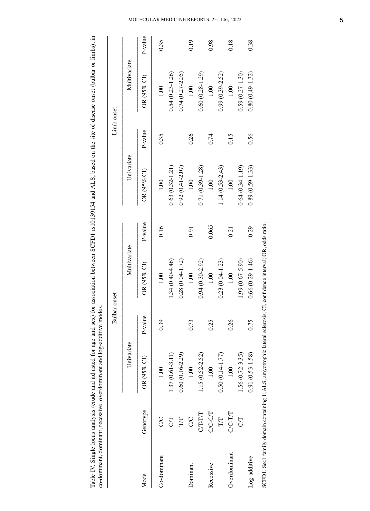Table IV. Single locus analysis (crude and adjusted for age and sex) for association between SCFD1 rs10139154 and ALS, based on the site of disease onset (bulbar or limbs), in co-dominant, dominant, recessive, overdominant Table IV. Single locus analysis (crude and adjusted for age and sex) for association between SCFD1 rs10139154 and ALS, based on the site of disease onset (bulbar or limbs), in co‑dominant, dominant, recessive, overdominant and log‑additive modes.

|              |           |                                                                             | <b>Bulbar</b> onset |                                          |         |                     | Limb onset |                     |           |
|--------------|-----------|-----------------------------------------------------------------------------|---------------------|------------------------------------------|---------|---------------------|------------|---------------------|-----------|
|              |           | Univariate                                                                  |                     | Multivariate                             |         | Univariate          |            | Multivariate        |           |
| Mode         | Genotype  | OR $(95\%$ CT                                                               | P-value             | OR (95% CI)                              | P-value | $OR$ (95% CI)       | P-value    | OR (95% CI)         | $P-value$ |
| Co-dominant  | S         | 1.00                                                                        | 0.39                | 1.00                                     | 0.16    | 1.00                | 0.35       | 1.00                | 0.35      |
|              | 50        | $1.37(0.61 - 3.11)$                                                         |                     | $1.34(0.40 - 4.46)$                      |         | $0.63(0.32 - 1.21)$ |            | $0.54(0.23 - 1.26)$ |           |
|              | T/T       | $0.60(0.16 - 2.29)$                                                         |                     | $0.28(0.04 - 1.72)$                      |         | $0.92(0.41 - 2.07)$ |            | $0.74(0.27 - 2.05)$ |           |
| Dominant     | <b>SC</b> | 1.00                                                                        | 0.73                | 1.00                                     | 0.91    | 1.00                | 0.26       | 1.00                | 0.19      |
|              | CT-TT     | 1.15 (0.52-2.52)                                                            |                     | $0.94(0.30 - 2.92)$                      |         | 0.71 (0.39-1.28)    |            | $0.60(0.28-1.29)$   |           |
| Recessive    | C/C-C/T   | 1.00                                                                        | 0.25                | 1.00                                     | 0.065   | 1.00                | 0.74       | 1.00                | 0.98      |
|              | T/T       | $0.50(0.14 - 1.77)$                                                         |                     | $0.23(0.04-1.23)$                        |         | 1.14 (0.53-2.43)    |            | $0.99(0.39 - 2.52)$ |           |
| Overdominant | C/C-T/T   | 1.00                                                                        | 0.26                | 1.00                                     | 0.21    | 1.00                | 0.15       | 1.00                | 0.18      |
|              | <b>ST</b> | 1.56 (0.72-3.35)                                                            |                     | 1.99 (0.67-5.90)                         |         | $0.64(0.34-1.19)$   |            | $0.59(0.27 - 1.30)$ |           |
| Log-additive |           | $0.91(0.53 - 1.58)$                                                         | 0.75                | $0.66(0.29 - 1.46)$                      | 0.29    | $0.89(0.59 - 1.33)$ | 0.56       | $0.80(0.49 - 1.32)$ | 0.38      |
|              |           | SCFD1, Sec1 family domain containing 1; ALS, amyotrophic lateral sclerosis; |                     | CI, confidence interval; OR, odds ratio. |         |                     |            |                     |           |

## Molecular Medicine RE PORTS 25: 146, 2022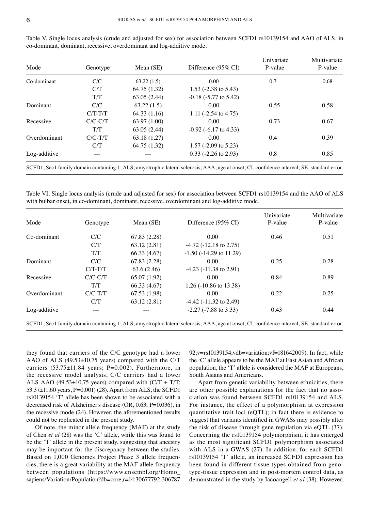| Mode         | Genotype  | Mean $(SE)$  | Difference $(95\% \text{ CI})$  | Univariate<br>P-value | Multivariate<br>P-value |
|--------------|-----------|--------------|---------------------------------|-----------------------|-------------------------|
| Co-dominant  | C/C       | 63.22(1.5)   | 0.00                            | 0.7                   | 0.68                    |
|              | C/T       | 64.75 (1.32) | 1.53 $(-2.38 \text{ to } 5.43)$ |                       |                         |
|              | T/T       | 63.05(2.44)  | $-0.18$ ( $-5.77$ to $5.42$ )   |                       |                         |
| Dominant     | C/C       | 63.22(1.5)   | 0.00                            | 0.55                  | 0.58                    |
|              | $C/T-T/T$ | 64.33 (1.16) | 1.11 $(-2.54 \text{ to } 4.75)$ |                       |                         |
| Recessive    | $C/C-C/T$ | 63.97 (1.00) | 0.00                            | 0.73                  | 0.67                    |
|              | T/T       | 63.05(2.44)  | $-0.92$ ( $-6.17$ to 4.33)      |                       |                         |
| Overdominant | $C/C-T/T$ | 63.18 (1.27) | 0.00                            | 0.4                   | 0.39                    |
|              | C/T       | 64.75 (1.32) | 1.57 ( $-2.09$ to 5.23)         |                       |                         |
| Log-additive |           |              | $0.33$ (-2.26 to 2.93)          | 0.8                   | 0.85                    |

Table V. Single locus analysis (crude and adjusted for sex) for association between SCFD1 rs10139154 and AAO of ALS, in co‑dominant, dominant, recessive, overdominant and log‑additive mode.

SCFD1, Sec1 family domain containing 1; ALS, amyotrophic lateral sclerosis; AAA, age at onset; CI, confidence interval; SE, standard error.

Table VI. Single locus analysis (crude and adjusted for sex) for association between SCFD1 rs10139154 and the AAO of ALS with bulbar onset, in co-dominant, dominant, recessive, overdominant and log-additive mode.

| Genotype  | Mean $(SE)$  | Difference (95% CI)          | Univariate<br>P-value | Multivariate<br>P-value                         |
|-----------|--------------|------------------------------|-----------------------|-------------------------------------------------|
| C/C       | 67.83 (2.28) | 0.00                         | 0.46                  | 0.51                                            |
| C/T       | 63.12(2.81)  | $-4.72$ ( $-12.18$ to 2.75)  |                       |                                                 |
| T/T       | 66.33 (4.67) | $-1.50$ ( $-14.29$ to 11.29) |                       |                                                 |
| C/C       | 67.83(2.28)  | 0.00                         | 0.25                  | 0.28                                            |
| $C/T-T/T$ | 63.6 (2.46)  | $-4.23$ ( $-11.38$ to 2.91)  |                       |                                                 |
| $C/C-C/T$ | 65.07 (1.92) | 0.00                         | 0.84                  | 0.89                                            |
| T/T       | 66.33 (4.67) | 1.26 (-10.86 to 13.38)       |                       |                                                 |
| $C/C-T/T$ | 67.53 (1.98) | 0.00                         | 0.22                  | 0.25                                            |
| C/T       | 63.12(2.81)  | $-4.42$ ( $-11.32$ to 2.49)  |                       |                                                 |
|           |              | $-2.27$ ( $-7.88$ to 3.33)   | 0.43                  | 0.44                                            |
|           |              | $\cdots$                     |                       | $\sim$<br>$\sim$ $\sim$<br>$\sim$ $\sim$ $\sim$ |

SCFD1, Sec1 family domain containing 1; ALS, amyotrophic lateral sclerosis; AAA, age at onset; CI, confidence interval; SE, standard error.

they found that carriers of the C/C genotype had a lower AAO of ALS (49.53±10.75 years) compared with the C/T carriers  $(53.75 \pm 11.84$  years; P=0.002). Furthermore, in the recessive model analysis, C/C carriers had a lower ALS AAO (49.53 $\pm$ 10.75 years) compared with (C/T + T/T; 53.37±11.60 years, P=0.001) (28). Apart from ALS, the SCFD1 rs10139154 'T' allele has been shown to be associated with a decreased risk of Alzheimer's disease (OR, 0.63; P=0.036), in the recessive mode (24). However, the aforementioned results could not be replicated in the present study.

Of note, the minor allele frequency (MAF) at the study of Chen *et al* (28) was the 'C' allele, while this was found to be the 'T' allele in the present study, suggesting that ancestry may be important for the discrepancy between the studies. Based on 1,000 Genomes Project Phase 3 allele frequencies, there is a great variability at the MAF allele frequency between populations (https://www.ensembl.org/Homo\_ sapiens/Variation/Population?db=core;r=14:30677792-306787 92;v=rs10139154;vdb=variation;vf=181642009). In fact, while the 'C' allele appears to be the MAF at East Asian and African population, the 'T' allele is considered the MAF at Europeans, South Asians and Americans.

Apart from genetic variability between ethnicities, there are other possible explanations for the fact that no association was found between SCFD1 rs10139154 and ALS. For instance, the effect of a polymorphism at expression quantitative trait loci (eQTL); in fact there is evidence to suggest that variants identified in GWASs may possibly alter the risk of disease through gene regulation via eQTL (37). Concerning the rs10139154 polymorphism, it has emerged as the most significant SCFD1 polymorphism associated with ALS in a GWAS (27). In addition, for each SCFD1 rs10139154 'T' allele, an increased SCFD1 expression has been found in different tissue types obtained from genotype‑tissue expression and in post‑mortem control data, as demonstrated in the study by Iacoangeli *et al* (38). However,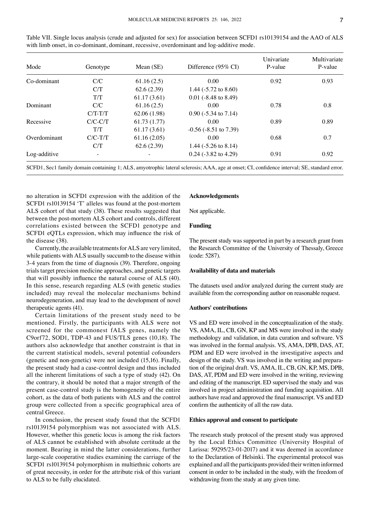| Mode         | Genotype  | Mean $(SE)$  | Difference $(95\% \text{ CI})$  | Univariate<br>P-value | Multivariate<br>P-value |
|--------------|-----------|--------------|---------------------------------|-----------------------|-------------------------|
| Co-dominant  | C/C       | 61.16(2.5)   | 0.00                            | 0.92                  | 0.93                    |
|              | C/T       | 62.6(2.39)   | 1.44 $(-5.72 \text{ to } 8.60)$ |                       |                         |
|              | T/T       | 61.17(3.61)  | $0.01$ (-8.48 to 8.49)          |                       |                         |
| Dominant     | C/C       | 61.16(2.5)   | 0.00                            | 0.78                  | 0.8                     |
|              | $C/T-T/T$ | 62.06 (1.98) | $0.90$ ( $-5.34$ to $7.14$ )    |                       |                         |
| Recessive    | $C/C-C/T$ | 61.73 (1.77) | 0.00                            | 0.89                  | 0.89                    |
|              | T/T       | 61.17(3.61)  | $-0.56$ ( $-8.51$ to 7.39)      |                       |                         |
| Overdominant | $C/C-T/T$ | 61.16(2.05)  | 0.00                            | 0.68                  | 0.7                     |
|              | C/T       | 62.6(2.39)   | 1.44 $(-5.26 \text{ to } 8.14)$ |                       |                         |
| Log-additive |           |              | $0.24$ (-3.82 to 4.29)          | 0.91                  | 0.92                    |

Table VII. Single locus analysis (crude and adjusted for sex) for association between SCFD1 rs10139154 and the AAO of ALS with limb onset, in co-dominant, dominant, recessive, overdominant and log-additive mode.

SCFD1, Sec1 family domain containing 1; ALS, amyotrophic lateral sclerosis; AAA, age at onset; CI, confidence interval; SE, standard error.

no alteration in SCFD1 expression with the addition of the SCFD1 rs10139154 'T' alleles was found at the post-mortem ALS cohort of that study (38). These results suggested that between the post-mortem ALS cohort and controls, different correlations existed between the SCFD1 genotype and SCFD1 eQTLs expression, which may influence the risk of the disease (38).

Currently, the available treatments for ALS are very limited, while patients with ALS usually succumb to the disease within 3‑4 years from the time of diagnosis (39). Therefore, ongoing trials target precision medicine approaches, and genetic targets that will possibly influence the natural course of ALS (40). In this sense, research regarding ALS (with genetic studies included) may reveal the molecular mechanisms behind neurodegeneration, and may lead to the development of novel therapeutic agents (41).

Certain limitations of the present study need to be mentioned. Firstly, the participants with ALS were not screened for the commonest fALS genes, namely the C9orf72, SOD1, TDP‑43 and FUS/TLS genes (10,18). The authors also acknowledge that another constraint is that in the current statistical models, several potential cofounders (genetic and non‑genetic) were not included (15,16). Finally, the present study had a case‑control design and thus included all the inherent limitations of such a type of study (42). On the contrary, it should be noted that a major strength of the present case‑control study is the homogeneity of the entire cohort, as the data of both patients with ALS and the control group were collected from a specific geographical area of central Greece.

In conclusion, the present study found that the SCFD1 rs10139154 polymorphism was not associated with ALS. However, whether this genetic locus is among the risk factors of ALS cannot be established with absolute certitude at the moment. Bearing in mind the latter considerations, further large‑scale cooperative studies examining the carriage of the SCFD1 rs10139154 polymorphism in multiethnic cohorts are of great necessity, in order for the attribute risk of this variant to ALS to be fully elucidated.

## **Acknowledgements**

Not applicable.

## **Funding**

The present study was supported in part by a research grant from the Research Committee of the University of Thessaly, Greece (code: 5287).

## **Availability of data and materials**

The datasets used and/or analyzed during the current study are available from the corresponding author on reasonable request.

## **Authors' contributions**

VS and ED were involved in the conceptualization of the study. VS, AMA, IL, CB, GN, KP and MS were involved in the study methodology and validation, in data curation and software. VS was involved in the formal analysis. VS, AMA, DPB, DAS, AT, PDM and ED were involved in the investigative aspects and design of the study. VS was involved in the writing and preparation of the original draft. VS, AMA, IL, CB, GN, KP, MS, DPB, DAS, AT, PDM and ED were involved in the writing, reviewing and editing of the manuscript. ED supervised the study and was involved in project administration and funding acquisition. All authors have read and approved the final manuscript. VS and ED confirm the authenticity of all the raw data.

#### **Ethics approval and consent to participate**

The research study protocol of the present study was approved by the Local Ethics Committee (University Hospital of Larissa: 59295/23-01-2017) and it was deemed in accordance to the Declaration of Helsinki. The experimental protocol was explained and all the participants provided their written informed consent in order to be included in the study, with the freedom of withdrawing from the study at any given time.